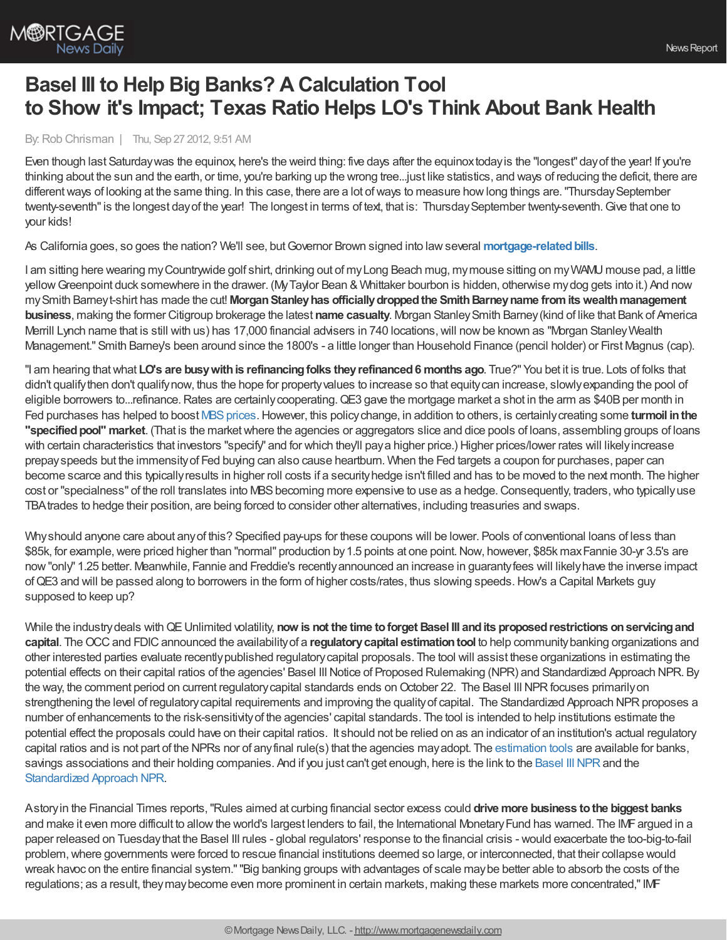

## **Basel III to Help Big Banks? A Calculation Tool to Show it's Impact; Texas Ratio Helps LO's Think About Bank Health**

## By:Rob Chrisman | Thu, Sep 27 2012, 9:51 AM

Even though last Saturdaywas the equinox, here's the weird thing: five days after the equinoxtodayis the "longest" dayof the year! If you're thinking about the sun and the earth, or time, you're barking up the wrong tree...just like statistics, and ways of reducing the deficit, there are different ways of looking at the same thing. In this case, there are a lot of ways to measure how long things are. "Thursday September twenty-seventh"is the longest dayof the year! The longest in terms of text, that is: ThursdaySeptember twenty-seventh.Give that one to your kids!

As California goes, so goes the nation? We'll see, but Governor Brown signed into law several mortgage-related bills.

I am sitting here wearing myCountrywide golf shirt, drinking out of myLong Beach mug, mymouse sitting on myWAMU mouse pad, a little yellowGreenpoint duck somewhere in the drawer. (MyTaylor Bean & Whittaker bourbon is hidden, otherwise mydog gets into it.) And now mySmith Barneyt-shirt has made the cut! **MorganStanleyhas officiallydroppedthe SmithBarneyname fromitswealthmanagement business**, making the former Citigroup brokerage the latest **name casualty**. Morgan StanleySmith Barney(kind of like that Bank of America Merrill Lynch name that is still with us) has 17,000 financial advisers in 740 locations,will nowbe known as "Morgan StanleyWealth Management." Smith Barney's been around since the 1800's - a little longer than Household Finance (pencil holder) or First Magnus (cap).

"I am hearing thatwhat **LO's are busywithis refinancingfolks theyrefinanced6 months ago**. True?" You bet it is true. Lots of folks that didn't qualifythen don't qualifynow, thus the hope for propertyvalues to increase so that equitycan increase, slowlyexpanding the pool of eligible borrowers to...refinance. Rates are certainly cooperating. QE3 gave the mortgage market a shot in the arm as \$40B per month in Fed purchases has helped to boost MBS prices. However, this policy change, in addition to others, is certainly creating some turmoil in the "specified pool" market. (That is the market where the agencies or aggregators slice and dice pools of loans, assembling groups of loans with certain characteristics that investors "specify" and for which they'll paya higher price.) Higher prices/lower rates will likelyincrease prepayspeeds but the immensityof Fed buying can also cause heartburn. When the Fed targets a coupon for purchases, paper can become scarce and this typicallyresults in higher roll costs if a securityhedge isn't filled and has to be moved to the next month. The higher cost or "specialness" of the roll translates into MBS becoming more expensive to use as a hedge. Consequently, traders, who typically use TBAtrades to hedge their position, are being forced to consider other alternatives, including treasuries and swaps.

Whyshould anyone care about anyof this? Specified pay-ups for these coupons will be lower. Pools of conventional loans of less than \$85k, for example, were priced higher than "normal" production by 1.5 points at one point. Now, however, \$85k max Fannie 30-yr 3.5's are now"only" 1.25 better. Meanwhile, Fannie and Freddie's recentlyannounced an increase in guarantyfees will likelyhave the inverse impact ofQE3 and will be passed along to borrowers in the form of higher costs/rates, thus slowing speeds.How's a Capital Markets guy supposed to keep up?

While the industrydeals withQEUnlimited volatility, **now is not the time toforget Basel III andits proposedrestrictions onservicingand capital**. The OCC and FDIC announced the availability of a **regulatory capital estimation tool** to help community banking organizations and other interested parties evaluate recentlypublished regulatorycapital proposals. The tool will assist these organizations in estimating the potential effects on their capital ratios of the agencies' Basel III Notice of Proposed Rulemaking (NPR) and Standardized Approach NPR. By the way, the comment period on current regulatory capital standards ends on October 22. The Basel III NPR focuses primarily on strengthening the level of regulatory capital requirements and improving the quality of capital. The Standardized Approach NPR proposes a number of enhancements to the risk-sensitivityof the agencies' capital standards. The tool is intended to help institutions estimate the potential effect the proposals could have on their capital ratios. It should not be relied on as an indicator of an institution's actual regulatory capital ratios and is not part of the NPRs nor of anyfinal rule(s) that the agencies mayadopt. The [estimation](http://www.fdic.gov/regulations/capital/calculator.html) tools are available for banks, savings associations and their holding companies. And if you just can't get enough, here is the link to the Basel III NPR and the [Standardized](http://www.gpo.gov/fdsys/pkg/FR-2012-08-30/pdf/2012-17010.pdf) Approach NPR.

Astoryin the Financial Times reports,"Rules aimed at curbing financial sector excess could **drive more business tothe biggest banks** and make it even more difficult to allow the world's largest lenders to fail, the International Monetary Fund has warned. The IMF argued in a paper released on Tuesdaythat the Basel III rules - global regulators' response to the financial crisis - would exacerbate the too-big-to-fail problem, where governments were forced to rescue financial institutions deemed so large, or interconnected, that their collapse would wreak havoc on the entire financial system.""Big banking groups with advantages of scale maybe better able to absorb the costs of the regulations; as a result, theymaybecome even more prominent in certain markets, making these markets more concentrated,"IMF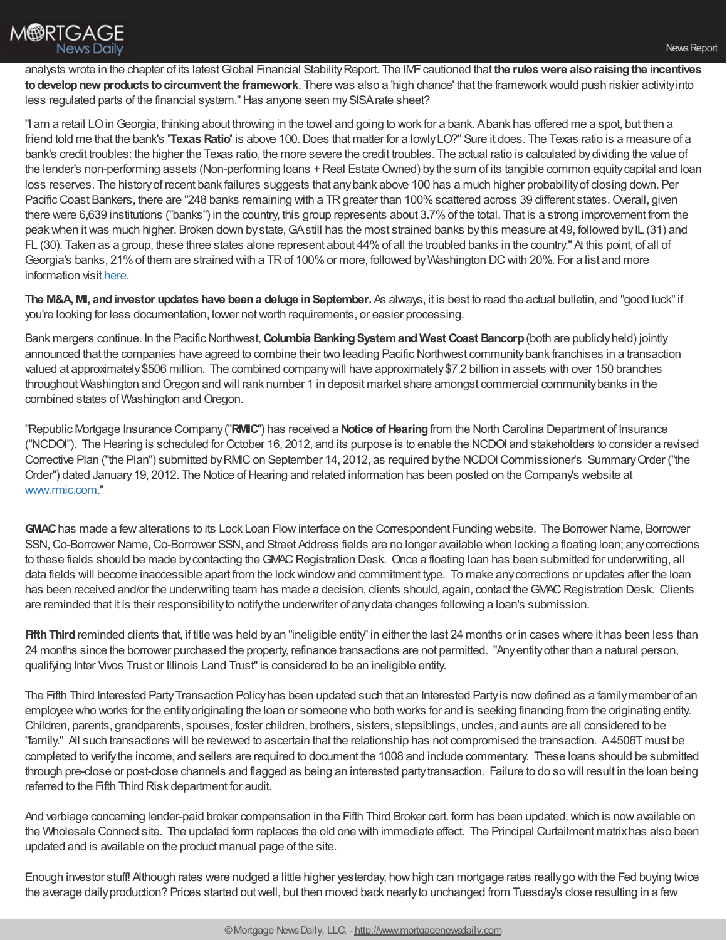

analysts wrote in the chapter of its latestGlobal Financial StabilityReport. The IMFcautioned that **the ruleswere alsoraisingthe incentives todevelopnew products tocircumvent the framework**. There was also a 'high chance' that the frameworkwould push riskier activityinto less regulated parts of the financial system."Has anyone seen mySISArate sheet?

"I am a retail LOinGeorgia, thinking about throwing in the towel and going to work for a bank. Abank has offered me a spot, but then a friend told me that the bank's **'Texas Ratio'** is above 100.Does that matter for a lowlyLO?" Sure it does. The Texas ratio is a measure of a bank's credit troubles: the higher the Texas ratio, the more severe the credit troubles. The actual ratio is calculated bydividing the value of the lender's non-performing assets (Non-performing loans + Real Estate Owned) by the sum of its tangible common equity capital and loan loss reserves. The historyof recent bank failures suggests that anybank above 100 has a much higher probabilityof closing down. Per Pacific Coast Bankers, there are "248 banks remaining with a TR greater than 100% scattered across 39 different states. Overall, given there were 6,639 institutions ("banks") in the country, this group represents about 3.7%of the total. That is a strong improvement from the peak when it was much higher. Broken down by state, GAstill has the most strained banks by this measure at 49, followed by IL (31) and FL (30). Taken as a group, these three states alone represent about 44% of all the troubled banks in the country." At this point, of all of Georgia's banks, 21% of them are strained with a TR of 100% or more, followed by Washington DC with 20%. For a list and more information visit [here](http://www.depositaccounts.com/banks/health.aspx).

**The M&A, MI, andinvestor updates have beena deluge inSeptember.** As always, it is best to read the actual bulletin, and "good luck"if you're looking for less documentation, lower networth requirements, or easier processing.

Bank mergers continue. In the Pacific Northwest, **Columbia Banking System and West Coast Bancorp** (both are publicly held) jointly announced that the companies have agreed to combine their two leading Pacific Northwest community bank franchises in a transaction valued at approximately\$506 million. The combined companywill have approximately\$7.2 billion in assets with over 150 branches throughout Washington and Oregon and will rank number 1 in deposit market share amongst commercial community banks in the combined states of Washington and Oregon.

"Republic Mortgage Insurance Company("**RMIC**") has received a **Notice of Hearing**from the North Carolina Department of Insurance ("NCDOI"). The Hearing is scheduled forOctober 16, 2012, and its purpose is to enable the NCDOI and stakeholders to consider a revised Corrective Plan ("the Plan") submitted byRMICon September 14, 2012, as required bythe NCDOICommissioner's SummaryOrder ("the Order") dated January 19, 2012. The Notice of Hearing and related information has been posted on the Company's website at [www.rmic.com.](http://r20.rs6.net/tn.jsp?e=001EFI6AfBsNFylhR8fYbFghsplEiD9W12J4X4kMdAJs6Udj5AgkqGv9ZBDWRnmz-3d5DMBS_qfvxpsRApQ3WU-J3N8AfcZZhA61a6tuLJpf8s=)"

GWAC has made a few alterations to its Lock Loan Flow interface on the Correspondent Funding website. The Borrower Name, Borrower SSN,Co-Borrower Name,Co-Borrower SSN, and Street Address fields are no longer available when locking a floating loan; anycorrections to these fields should be made by contacting the GMAC Registration Desk. Once a floating loan has been submitted for underwriting, all data fields will become inaccessible apart from the lockwindowand commitment type. To make anycorrections or updates after the loan has been received and/or the underwriting team has made a decision, clients should, again, contact the GMAC Registration Desk. Clients are reminded that it is their responsibilityto notifythe underwriter of anydata changes following a loan's submission.

**Fifth Third** reminded clients that, if title was held by an "ineligible entity" in either the last 24 months or in cases where it has been less than 24 months since the borrower purchased the property, refinance transactions are not permitted. "Anyentityother than a natural person, qualifying Inter Vivos Trust or Illinois Land Trust"is considered to be an ineligible entity.

The Fifth Third Interested Party Transaction Policy has been updated such that an Interested Party is now defined as a family member of an employee who works for the entityoriginating the loan or someone who both works for and is seeking financing from the originating entity. Children, parents, grandparents, spouses, foster children, brothers, sisters, stepsiblings, uncles, and aunts are all considered to be "family." All such transactions will be reviewed to ascertain that the relationship has not compromised the transaction. A4506Tmust be completed to verifythe income, and sellers are required to document the 1008 and include commentary. These loans should be submitted through pre-close or post-close channels and flagged as being an interested partytransaction. Failure to do so will result in the loan being referred to the Fifth Third Risk department for audit.

And verbiage concerning lender-paid broker compensation in the Fifth Third Broker cert. form has been updated, which is now available on the Wholesale Connect site. The updated form replaces the old one with immediate effect. The Principal Curtailment matrixhas also been updated and is available on the product manual page of the site.

Enough investor stuff! Although rates were nudged a little higher yesterday, howhigh can mortgage rates reallygo with the Fed buying twice the average dailyproduction? Prices started outwell, but then moved back nearlyto unchanged from Tuesday's close resulting in a few